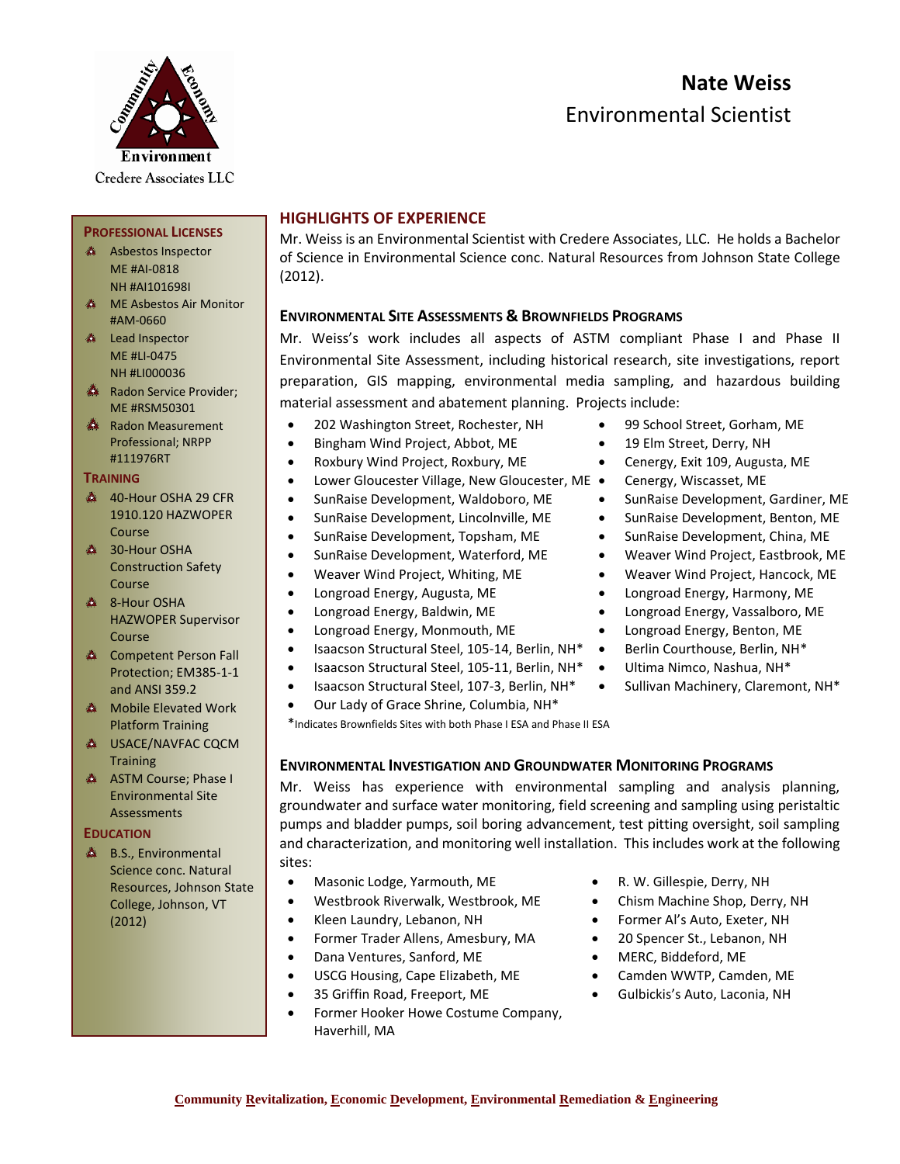# **Nate Weiss** Environmental Scientist



**PROFESSIONAL LICENSES** A Asbestos Inspector ME #AI-0818 NH #AI101698I **ME Asbestos Air Monitor** 

#AM-0660 **A** Lead Inspector ME #LI-0475

## **HIGHLIGHTS OF EXPERIENCE**

Mr. Weiss is an Environmental Scientist with Credere Associates, LLC. He holds a Bachelor of Science in Environmental Science conc. Natural Resources from Johnson State College (2012).

### **ENVIRONMENTAL SITE ASSESSMENTS & BROWNFIELDS PROGRAMS**

Mr. Weiss's work includes all aspects of ASTM compliant Phase I and Phase II Environmental Site Assessment, including historical research, site investigations, report preparation, GIS mapping, environmental media sampling, and hazardous building material assessment and abatement planning. Projects include:

- 202 Washington Street, Rochester, NH 99 School Street, Gorham, ME
- Bingham Wind Project, Abbot, ME 19 Elm Street, Derry, NH
- Roxbury Wind Project, Roxbury, ME Cenergy, Exit 109, Augusta, ME
- Lower Gloucester Village, New Gloucester, ME Cenergy, Wiscasset, ME
- SunRaise Development, Waldoboro, ME SunRaise Development, Gardiner, ME
- SunRaise Development, Lincolnville, ME SunRaise Development, Benton, ME
- SunRaise Development, Topsham, ME SunRaise Development, China, ME
- SunRaise Development, Waterford, ME Weaver Wind Project, Eastbrook, ME
- 
- 
- 
- Longroad Energy, Monmouth, ME Longroad Energy, Benton, ME
- Isaacson Structural Steel, 105-14, Berlin, NH\* Berlin Courthouse, Berlin, NH\*
- Isaacson Structural Steel, 105-11, Berlin, NH\* Ultima Nimco, Nashua, NH\*
- Isaacson Structural Steel, 107-3, Berlin, NH\* Sullivan Machinery, Claremont, NH\*
- Our Lady of Grace Shrine, Columbia, NH\*

\*Indicates Brownfields Sites with both Phase I ESA and Phase II ESA

## **ENVIRONMENTAL INVESTIGATION AND GROUNDWATER MONITORING PROGRAMS**

Mr. Weiss has experience with environmental sampling and analysis planning, groundwater and surface water monitoring, field screening and sampling using peristaltic pumps and bladder pumps, soil boring advancement, test pitting oversight, soil sampling and characterization, and monitoring well installation. This includes work at the following sites:

- Masonic Lodge, Yarmouth, ME R. W. Gillespie, Derry, NH
- Westbrook Riverwalk, Westbrook, ME Chism Machine Shop, Derry, NH
- 
- Former Trader Allens, Amesbury, MA 20 Spencer St., Lebanon, NH
- Dana Ventures, Sanford, ME MERC, Biddeford, ME
- USCG Housing, Cape Elizabeth, ME Camden WWTP, Camden, ME
- 
- Former Hooker Howe Costume Company, Haverhill, MA
- 
- 
- Kleen Laundry, Lebanon, NH Former Al's Auto, Exeter, NH
	-
	-
	-
- 35 Griffin Road, Freeport, ME Gulbickis's Auto, Laconia, NH
- 
- 
- 
- 
- 
- 
- 
- 
- Weaver Wind Project, Whiting, ME Weaver Wind Project, Hancock, ME
- Longroad Energy, Augusta, ME Longroad Energy, Harmony, ME
- Longroad Energy, Baldwin, ME Longroad Energy, Vassalboro, ME
	-
	-
	-
	-
- NH #LI000036 Radon Service Provider; ME #RSM50301
- Radon Measurement Professional; NRPP #111976RT

#### **TRAINING**

- 40-Hour OSHA 29 CFR 1910.120 HAZWOPER Course
- **4 30-Hour OSHA** Construction Safety Course
- **& 8-Hour OSHA** HAZWOPER Supervisor Course
- **EXA** Competent Person Fall Protection; EM385-1-1 and ANSI 359.2
- **A** Mobile Elevated Work Platform Training
- **A USACE/NAVFAC CQCM Training**
- A ASTM Course; Phase I Environmental Site Assessments

#### **EDUCATION**

**A** B.S., Environmental Science conc. Natural Resources, Johnson State College, Johnson, VT (2012)